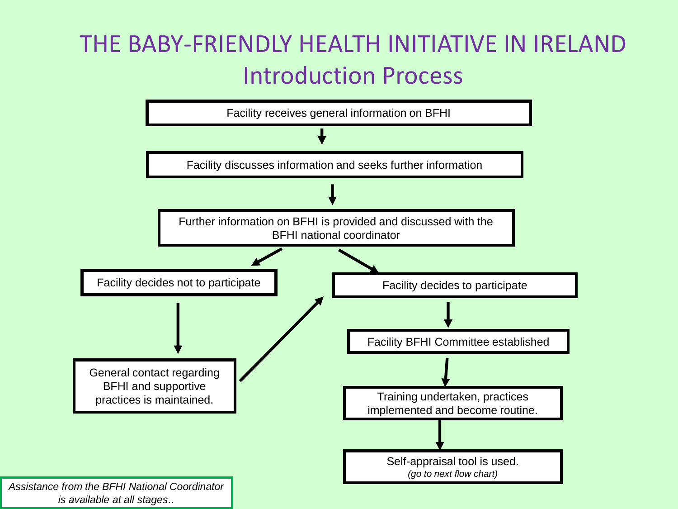## THE BABY-FRIENDLY HEALTH INITIATIVE IN IRELAND Introduction Process

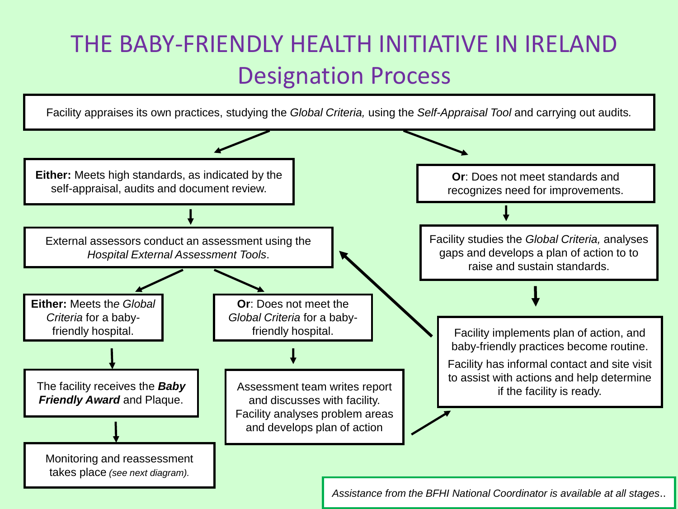## THE BABY-FRIENDLY HEALTH INITIATIVE IN IRELAND Designation Process

Facility appraises its own practices, studying the *Global Criteria,* using the *Self-Appraisal Tool* and carrying out audits*.*